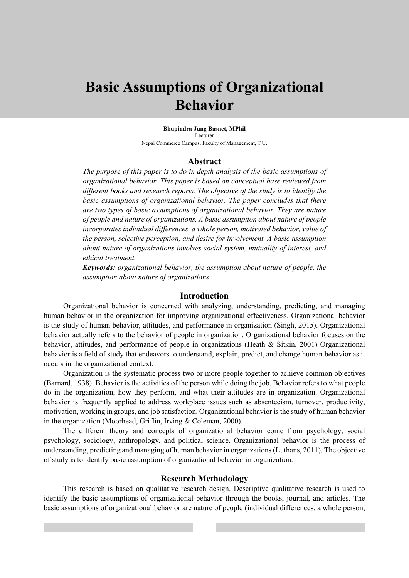# **Basic Assumptions of Organizational Behavior**

**Bhupindra Jung Basnet, MPhil** Lecturer Nepal Commerce Campus, Faculty of Management, T.U.

#### **Abstract**

*The purpose of this paper is to do in depth analysis of the basic assumptions of organizational behavior. This paper is based on conceptual base reviewed from different books and research reports. The objective of the study is to identify the basic assumptions of organizational behavior. The paper concludes that there are two types of basic assumptions of organizational behavior. They are nature of people and nature of organizations. A basic assumption about nature of people incorporates individual differences, a whole person, motivated behavior, value of the person, selective perception, and desire for involvement. A basic assumption about nature of organizations involves social system, mutuality of interest, and ethical treatment.*

*Keywords: organizational behavior, the assumption about nature of people, the assumption about nature of organizations*

#### **Introduction**

Organizational behavior is concerned with analyzing, understanding, predicting, and managing human behavior in the organization for improving organizational effectiveness. Organizational behavior is the study of human behavior, attitudes, and performance in organization (Singh, 2015). Organizational behavior actually refers to the behavior of people in organization. Organizational behavior focuses on the behavior, attitudes, and performance of people in organizations (Heath & Sitkin, 2001) Organizational behavior is a field of study that endeavors to understand, explain, predict, and change human behavior as it occurs in the organizational context.

Organization is the systematic process two or more people together to achieve common objectives (Barnard, 1938). Behavior is the activities of the person while doing the job. Behavior refers to what people do in the organization, how they perform, and what their attitudes are in organization. Organizational behavior is frequently applied to address workplace issues such as absenteeism, turnover, productivity, motivation, working in groups, and job satisfaction. Organizational behavior is the study of human behavior in the organization (Moorhead, Griffin, Irving & Coleman, 2000).

The different theory and concepts of organizational behavior come from psychology, social psychology, sociology, anthropology, and political science. Organizational behavior is the process of understanding, predicting and managing of human behavior in organizations (Luthans, 2011). The objective of study is to identify basic assumption of organizational behavior in organization.

#### **Research Methodology**

This research is based on qualitative research design. Descriptive qualitative research is used to identify the basic assumptions of organizational behavior through the books, journal, and articles. The basic assumptions of organizational behavior are nature of people (individual differences, a whole person,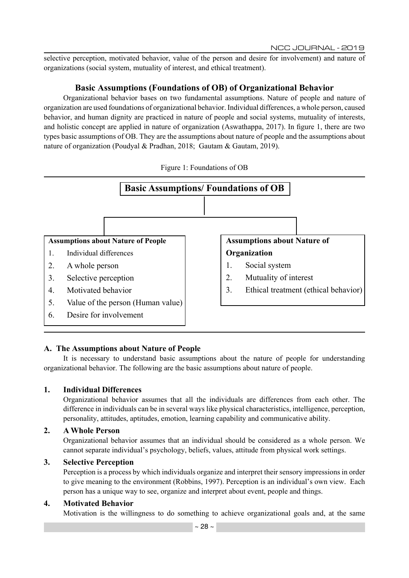selective perception, motivated behavior, value of the person and desire for involvement) and nature of organizations (social system, mutuality of interest, and ethical treatment).

# **Basic Assumptions (Foundations of OB) of Organizational Behavior**

Organizational behavior bases on two fundamental assumptions. Nature of people and nature of organization are used foundations of organizational behavior. Individual differences, a whole person, caused behavior, and human dignity are practiced in nature of people and social systems, mutuality of interests, and holistic concept are applied in nature of organization (Aswathappa, 2017). In figure 1, there are two types basic assumptions of OB. They are the assumptions about nature of people and the assumptions about nature of organization (Poudyal & Pradhan, 2018; Gautam & Gautam, 2019).



#### Figure 1: Foundations of OB

# **A. The Assumptions about Nature of People**

It is necessary to understand basic assumptions about the nature of people for understanding organizational behavior. The following are the basic assumptions about nature of people.

# **1. Individual Differences**

Organizational behavior assumes that all the individuals are differences from each other. The difference in individuals can be in several ways like physical characteristics, intelligence, perception, personality, attitudes, aptitudes, emotion, learning capability and communicative ability.

# **2. A Whole Person**

Organizational behavior assumes that an individual should be considered as a whole person. We cannot separate individual's psychology, beliefs, values, attitude from physical work settings.

# **3. Selective Perception**

Perception is a process by which individuals organize and interpret their sensory impressions in order to give meaning to the environment (Robbins, 1997). Perception is an individual's own view. Each person has a unique way to see, organize and interpret about event, people and things.

# **4. Motivated Behavior**

Motivation is the willingness to do something to achieve organizational goals and, at the same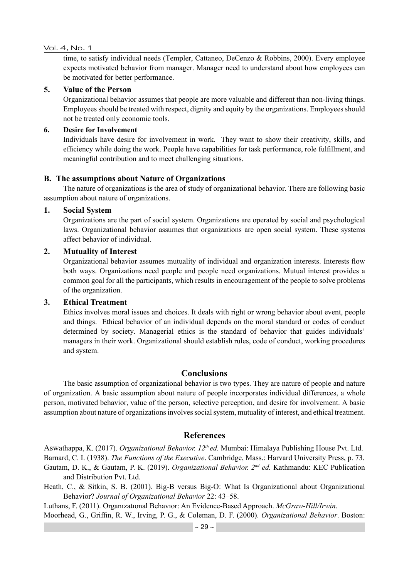#### Vol. 4, No. 1

time, to satisfy individual needs (Templer, Cattaneo, DeCenzo & Robbins, 2000). Every employee expects motivated behavior from manager. Manager need to understand about how employees can be motivated for better performance.

## **5. Value of the Person**

Organizational behavior assumes that people are more valuable and different than non-living things. Employees should be treated with respect, dignity and equity by the organizations. Employees should not be treated only economic tools.

#### **6. Desire for Involvement**

Individuals have desire for involvement in work. They want to show their creativity, skills, and efficiency while doing the work. People have capabilities for task performance, role fulfillment, and meaningful contribution and to meet challenging situations.

## **B. The assumptions about Nature of Organizations**

The nature of organizations is the area of study of organizational behavior. There are following basic assumption about nature of organizations.

## **1. Social System**

Organizations are the part of social system. Organizations are operated by social and psychological laws. Organizational behavior assumes that organizations are open social system. These systems affect behavior of individual.

## **2. Mutuality of Interest**

Organizational behavior assumes mutuality of individual and organization interests. Interests flow both ways. Organizations need people and people need organizations. Mutual interest provides a common goal for all the participants, which results in encouragement of the people to solve problems of the organization.

#### **3. Ethical Treatment**

Ethics involves moral issues and choices. It deals with right or wrong behavior about event, people and things. Ethical behavior of an individual depends on the moral standard or codes of conduct determined by society. Managerial ethics is the standard of behavior that guides individuals' managers in their work. Organizational should establish rules, code of conduct, working procedures and system.

## **Conclusions**

The basic assumption of organizational behavior is two types. They are nature of people and nature of organization. A basic assumption about nature of people incorporates individual differences, a whole person, motivated behavior, value of the person, selective perception, and desire for involvement. A basic assumption about nature of organizations involves social system, mutuality of interest, and ethical treatment.

## **References**

Aswathappa, K. (2017). *Organizational Behavior. 12th ed.* Mumbai: Himalaya Publishing House Pvt. Ltd. Barnard, C. I. (1938). *The Functions of the Executive*. Cambridge, Mass.: Harvard University Press, p. 73. Gautam, D. K., & Gautam, P. K. (2019). *Organizational Behavior. 2nd ed.* Kathmandu: KEC Publication and Distribution Pvt. Ltd.

Heath, C., & Sitkin, S. B. (2001). Big-B versus Big-O: What Is Organizational about Organizational Behavior? *Journal of Organizational Behavior* 22: 43–58.

Luthans, F. (2011). Organızatıonal Behavıor: An Evidence-Based Approach. *McGraw-Hill/Irwin*.

Moorhead, G., Griffin, R. W., Irving, P. G., & Coleman, D. F. (2000). *Organizational Behavior*. Boston: